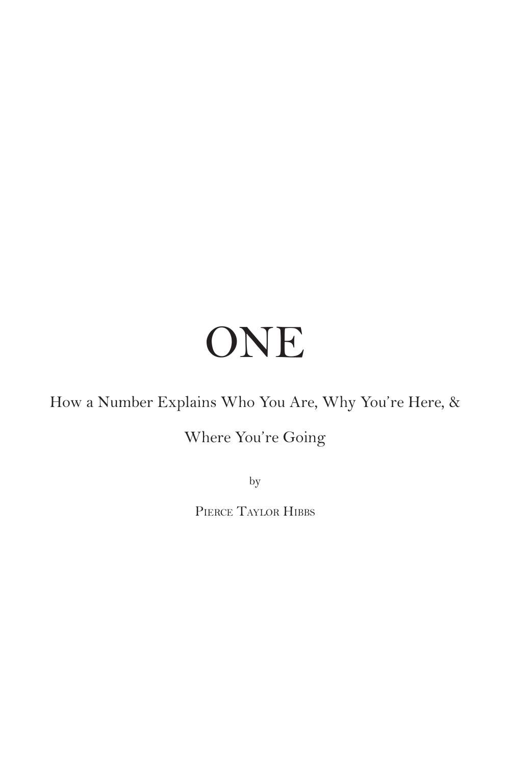# ONE

How a Number Explains Who You Are, Why You're Here, &

### Where You're Going

by

Pierce Taylor Hibbs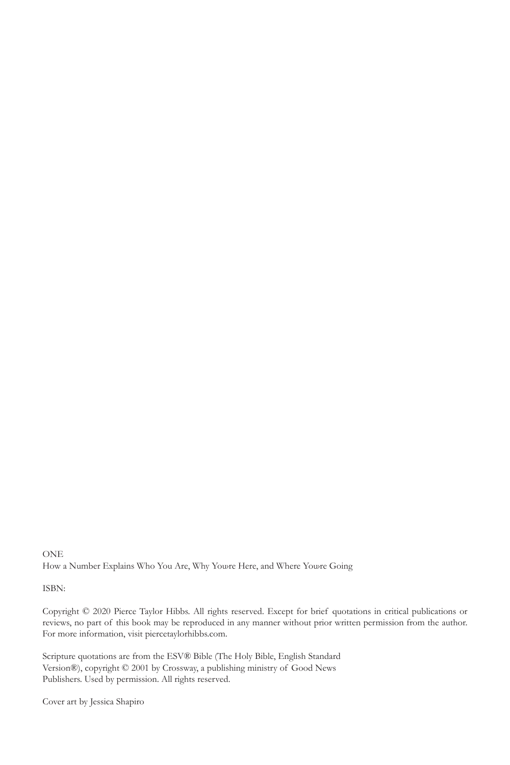**ONE** How a Number Explains Who You Are, Why Youre Here, and Where Youre Going

ISBN:

Copyright © 2020 Pierce Taylor Hibbs. All rights reserved. Except for brief quotations in critical publications or reviews, no part of this book may be reproduced in any manner without prior written permission from the author. For more information, visit piercetaylorhibbs.com.

Scripture quotations are from the ESV® Bible (The Holy Bible, English Standard Version®), copyright © 2001 by Crossway, a publishing ministry of Good News Publishers. Used by permission. All rights reserved.

Cover art by Jessica Shapiro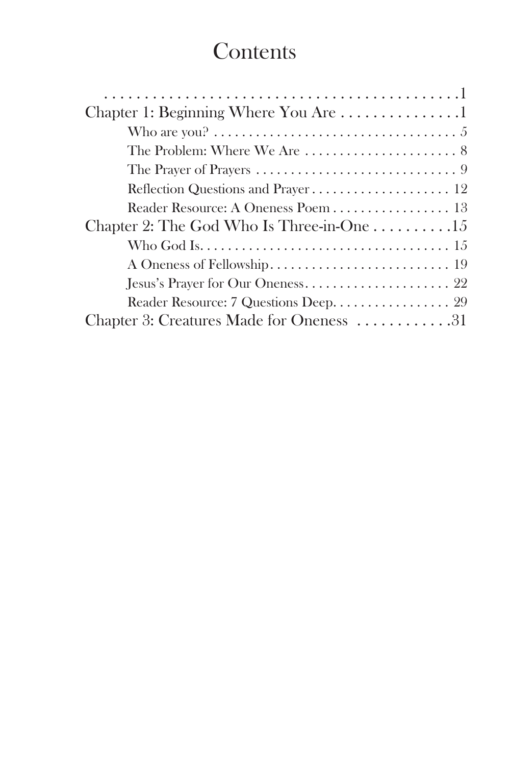## **Contents**

| Chapter 1: Beginning Where You Are 1                          |
|---------------------------------------------------------------|
|                                                               |
|                                                               |
|                                                               |
|                                                               |
| Reader Resource: A Oneness Poem 13                            |
| Chapter 2: The God Who Is Three-in-One $\dots \dots \dots 15$ |
|                                                               |
|                                                               |
|                                                               |
| Reader Resource: 7 Questions Deep. 29                         |
| Chapter 3: Creatures Made for Oneness 31                      |
|                                                               |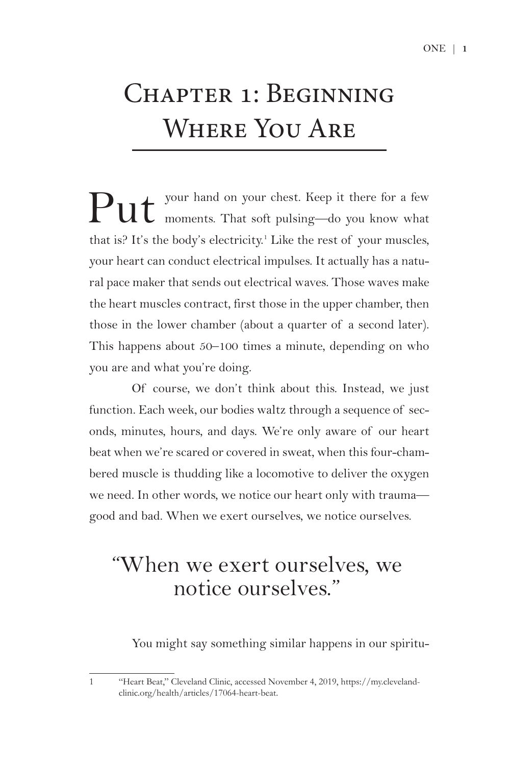## Chapter 1: Beginning Where You Are

Put your hand on your chest. Keep it there for a few moments. That soft pulsing—do you know what that is? It's the body's electricity.<sup>1</sup> Like the rest of your muscles, your heart can conduct electrical impulses. It actually has a natural pace maker that sends out electrical waves. Those waves make the heart muscles contract, first those in the upper chamber, then those in the lower chamber (about a quarter of a second later). This happens about 50–100 times a minute, depending on who you are and what you're doing.

Of course, we don't think about this. Instead, we just function. Each week, our bodies waltz through a sequence of seconds, minutes, hours, and days. We're only aware of our heart beat when we're scared or covered in sweat, when this four-chambered muscle is thudding like a locomotive to deliver the oxygen we need. In other words, we notice our heart only with trauma good and bad. When we exert ourselves, we notice ourselves.

## "When we exert ourselves, we notice ourselves."

You might say something similar happens in our spiritu-

1 "Heart Beat," Cleveland Clinic, accessed November 4, 2019, https://my.clevelandclinic.org/health/articles/17064-heart-beat.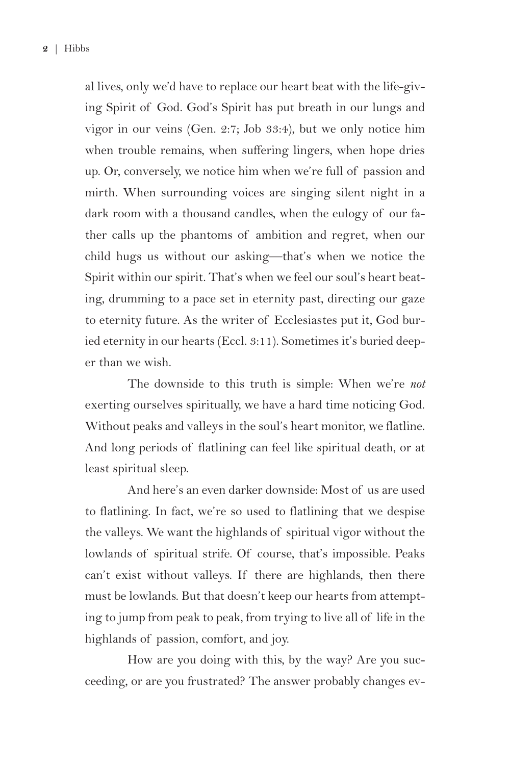al lives, only we'd have to replace our heart beat with the life-giving Spirit of God. God's Spirit has put breath in our lungs and vigor in our veins (Gen. 2:7; Job 33:4), but we only notice him when trouble remains, when suffering lingers, when hope dries up. Or, conversely, we notice him when we're full of passion and mirth. When surrounding voices are singing silent night in a dark room with a thousand candles, when the eulogy of our father calls up the phantoms of ambition and regret, when our child hugs us without our asking—that's when we notice the Spirit within our spirit. That's when we feel our soul's heart beating, drumming to a pace set in eternity past, directing our gaze to eternity future. As the writer of Ecclesiastes put it, God buried eternity in our hearts (Eccl. 3:11). Sometimes it's buried deeper than we wish.

The downside to this truth is simple: When we're *not* exerting ourselves spiritually, we have a hard time noticing God. Without peaks and valleys in the soul's heart monitor, we flatline. And long periods of flatlining can feel like spiritual death, or at least spiritual sleep.

And here's an even darker downside: Most of us are used to flatlining. In fact, we're so used to flatlining that we despise the valleys. We want the highlands of spiritual vigor without the lowlands of spiritual strife. Of course, that's impossible. Peaks can't exist without valleys. If there are highlands, then there must be lowlands. But that doesn't keep our hearts from attempting to jump from peak to peak, from trying to live all of life in the highlands of passion, comfort, and joy.

How are you doing with this, by the way? Are you succeeding, or are you frustrated? The answer probably changes ev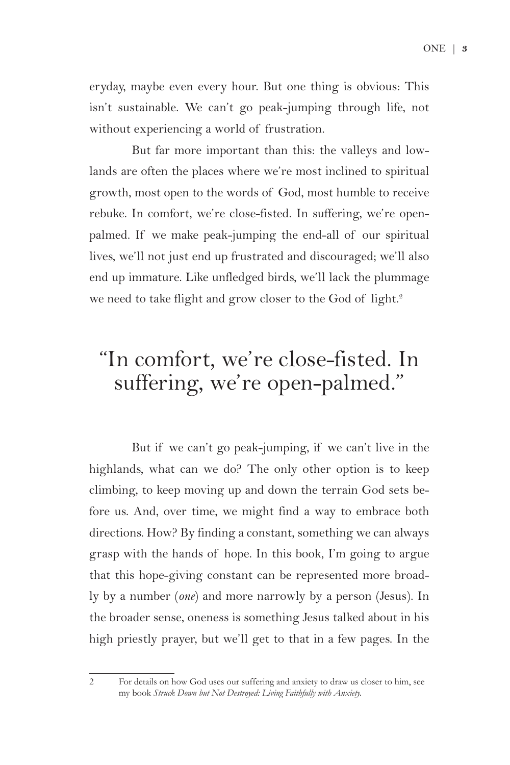eryday, maybe even every hour. But one thing is obvious: This isn't sustainable. We can't go peak-jumping through life, not without experiencing a world of frustration.

But far more important than this: the valleys and lowlands are often the places where we're most inclined to spiritual growth, most open to the words of God, most humble to receive rebuke. In comfort, we're close-fisted. In suffering, we're openpalmed. If we make peak-jumping the end-all of our spiritual lives, we'll not just end up frustrated and discouraged; we'll also end up immature. Like unfledged birds, we'll lack the plummage we need to take flight and grow closer to the God of light.<sup>2</sup>

## "In comfort, we're close-fisted. In suffering, we're open-palmed."

But if we can't go peak-jumping, if we can't live in the highlands, what can we do? The only other option is to keep climbing, to keep moving up and down the terrain God sets before us. And, over time, we might find a way to embrace both directions. How? By finding a constant, something we can always grasp with the hands of hope. In this book, I'm going to argue that this hope-giving constant can be represented more broadly by a number (*one*) and more narrowly by a person (Jesus). In the broader sense, oneness is something Jesus talked about in his high priestly prayer, but we'll get to that in a few pages. In the

<sup>2</sup> For details on how God uses our suffering and anxiety to draw us closer to him, see my book *Struck Down but Not Destroyed: Living Faithfully with Anxiety.*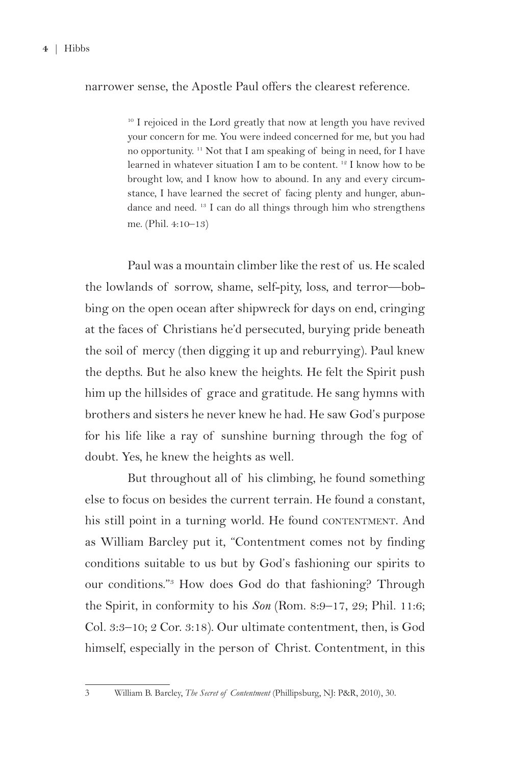#### narrower sense, the Apostle Paul offers the clearest reference.

<sup>10</sup> I rejoiced in the Lord greatly that now at length you have revived your concern for me. You were indeed concerned for me, but you had no opportunity. 11 Not that I am speaking of being in need, for I have learned in whatever situation I am to be content.<sup>12</sup> I know how to be brought low, and I know how to abound. In any and every circumstance, I have learned the secret of facing plenty and hunger, abundance and need. 13 I can do all things through him who strengthens me. (Phil. 4:10–13)

Paul was a mountain climber like the rest of us. He scaled the lowlands of sorrow, shame, self-pity, loss, and terror—bobbing on the open ocean after shipwreck for days on end, cringing at the faces of Christians he'd persecuted, burying pride beneath the soil of mercy (then digging it up and reburrying). Paul knew the depths. But he also knew the heights. He felt the Spirit push him up the hillsides of grace and gratitude. He sang hymns with brothers and sisters he never knew he had. He saw God's purpose for his life like a ray of sunshine burning through the fog of doubt. Yes, he knew the heights as well.

But throughout all of his climbing, he found something else to focus on besides the current terrain. He found a constant, his still point in a turning world. He found CONTENTMENT. And as William Barcley put it, "Contentment comes not by finding conditions suitable to us but by God's fashioning our spirits to our conditions."3 How does God do that fashioning? Through the Spirit, in conformity to his *Son* (Rom. 8:9–17, 29; Phil. 11:6; Col. 3:3–10; 2 Cor. 3:18). Our ultimate contentment, then, is God himself, especially in the person of Christ. Contentment, in this

<sup>3</sup> William B. Barcley, *The Secret of Contentment* (Phillipsburg, NJ: P&R, 2010), 30.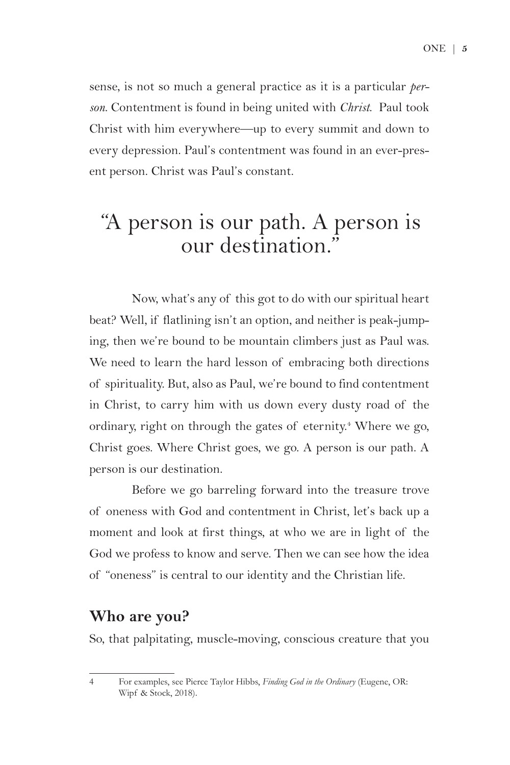ONE | **5** 

sense, is not so much a general practice as it is a particular *person*. Contentment is found in being united with *Christ*. Paul took Christ with him everywhere—up to every summit and down to every depression. Paul's contentment was found in an ever-present person. Christ was Paul's constant.

## "A person is our path. A person is our destination."

Now, what's any of this got to do with our spiritual heart beat? Well, if flatlining isn't an option, and neither is peak-jumping, then we're bound to be mountain climbers just as Paul was. We need to learn the hard lesson of embracing both directions of spirituality. But, also as Paul, we're bound to find contentment in Christ, to carry him with us down every dusty road of the ordinary, right on through the gates of eternity.<sup>4</sup> Where we go, Christ goes. Where Christ goes, we go. A person is our path. A person is our destination.

Before we go barreling forward into the treasure trove of oneness with God and contentment in Christ, let's back up a moment and look at first things, at who we are in light of the God we profess to know and serve. Then we can see how the idea of "oneness" is central to our identity and the Christian life.

#### **Who are you?**

So, that palpitating, muscle-moving, conscious creature that you

<sup>4</sup> For examples, see Pierce Taylor Hibbs, *Finding God in the Ordinary* (Eugene, OR: Wipf & Stock, 2018).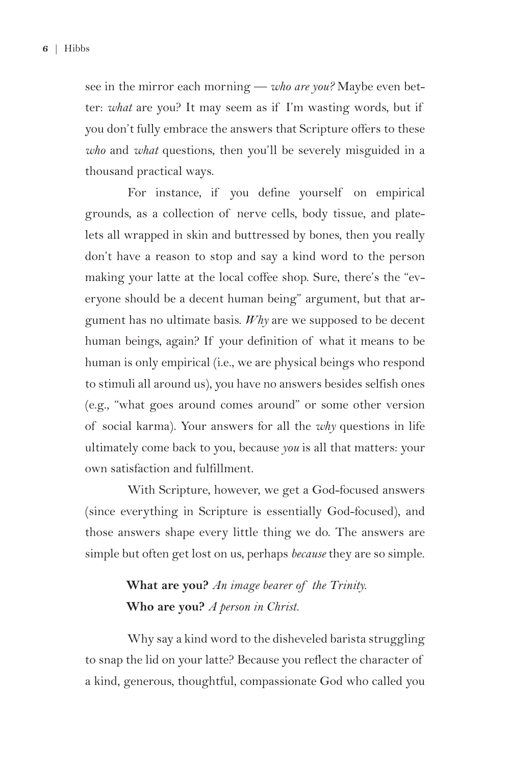see in the mirror each morning — *who are you?* Maybe even better: *what* are you? It may seem as if I'm wasting words, but if you don't fully embrace the answers that Scripture offers to these *who* and *what* questions, then you'll be severely misguided in a thousand practical ways.

For instance, if you define yourself on empirical grounds, as a collection of nerve cells, body tissue, and platelets all wrapped in skin and buttressed by bones, then you really don't have a reason to stop and say a kind word to the person making your latte at the local coffee shop. Sure, there's the "everyone should be a decent human being" argument, but that argument has no ultimate basis. *Why* are we supposed to be decent human beings, again? If your definition of what it means to be human is only empirical (i.e., we are physical beings who respond to stimuli all around us), you have no answers besides selfish ones (e.g., "what goes around comes around" or some other version of social karma). Your answers for all the *why* questions in life ultimately come back to you, because *you* is all that matters: your own satisfaction and fulfillment.

With Scripture, however, we get a God-focused answers (since everything in Scripture is essentially God-focused), and those answers shape every little thing we do. The answers are simple but often get lost on us, perhaps *because* they are so simple.

#### **What are you?** *An image bearer of the Trinity.* **Who are you?** *A person in Christ.*

Why say a kind word to the disheveled barista struggling to snap the lid on your latte? Because you reflect the character of a kind, generous, thoughtful, compassionate God who called you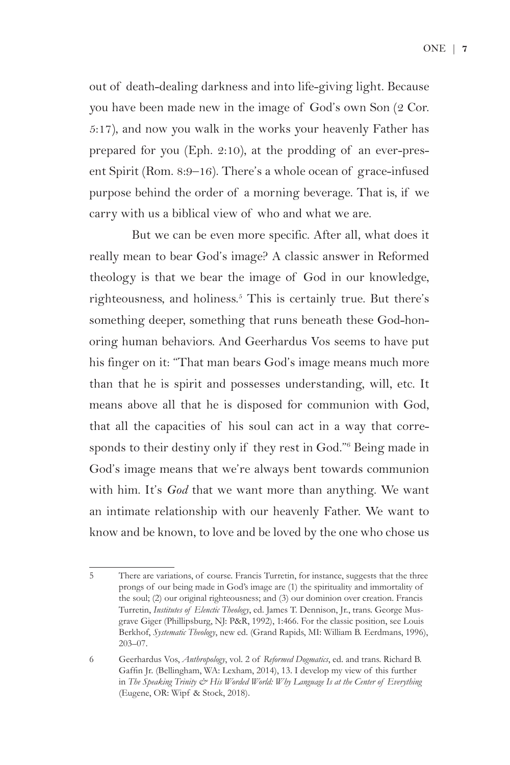out of death-dealing darkness and into life-giving light. Because you have been made new in the image of God's own Son (2 Cor. 5:17), and now you walk in the works your heavenly Father has prepared for you (Eph. 2:10), at the prodding of an ever-present Spirit (Rom. 8:9–16). There's a whole ocean of grace-infused purpose behind the order of a morning beverage. That is, if we carry with us a biblical view of who and what we are.

But we can be even more specific. After all, what does it really mean to bear God's image? A classic answer in Reformed theology is that we bear the image of God in our knowledge, righteousness, and holiness.<sup>5</sup> This is certainly true. But there's something deeper, something that runs beneath these God-honoring human behaviors. And Geerhardus Vos seems to have put his finger on it: "That man bears God's image means much more than that he is spirit and possesses understanding, will, etc. It means above all that he is disposed for communion with God, that all the capacities of his soul can act in a way that corresponds to their destiny only if they rest in God."6 Being made in God's image means that we're always bent towards communion with him. It's *God* that we want more than anything. We want an intimate relationship with our heavenly Father. We want to know and be known, to love and be loved by the one who chose us

<sup>5</sup> There are variations, of course. Francis Turretin, for instance, suggests that the three prongs of our being made in God's image are (1) the spirituality and immortality of the soul; (2) our original righteousness; and (3) our dominion over creation. Francis Turretin, *Institutes of Elenctic Theology*, ed. James T. Dennison, Jr., trans. George Musgrave Giger (Phillipsburg, NJ: P&R, 1992), 1:466. For the classic position, see Louis Berkhof, *Systematic Theology*, new ed. (Grand Rapids, MI: William B. Eerdmans, 1996), 203–07.

<sup>6</sup> Geerhardus Vos, *Anthropology*, vol. 2 of *Reformed Dogmatics*, ed. and trans. Richard B. Gaffin Jr. (Bellingham, WA: Lexham, 2014), 13. I develop my view of this further in *The Speaking Trinity & His Worded World: Why Language Is at the Center of Everything* (Eugene, OR: Wipf & Stock, 2018).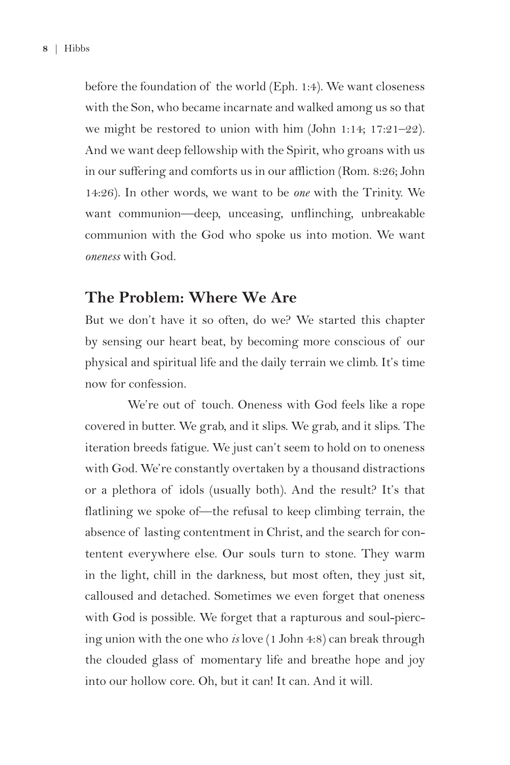before the foundation of the world (Eph. 1:4). We want closeness with the Son, who became incarnate and walked among us so that we might be restored to union with him (John 1:14; 17:21–22). And we want deep fellowship with the Spirit, who groans with us in our suffering and comforts us in our affliction (Rom. 8:26; John 14:26). In other words, we want to be *one* with the Trinity. We want communion—deep, unceasing, unflinching, unbreakable communion with the God who spoke us into motion. We want *oneness* with God.

#### **The Problem: Where We Are**

But we don't have it so often, do we? We started this chapter by sensing our heart beat, by becoming more conscious of our physical and spiritual life and the daily terrain we climb. It's time now for confession.

We're out of touch. Oneness with God feels like a rope covered in butter. We grab, and it slips. We grab, and it slips. The iteration breeds fatigue. We just can't seem to hold on to oneness with God. We're constantly overtaken by a thousand distractions or a plethora of idols (usually both). And the result? It's that flatlining we spoke of—the refusal to keep climbing terrain, the absence of lasting contentment in Christ, and the search for contentent everywhere else. Our souls turn to stone. They warm in the light, chill in the darkness, but most often, they just sit, calloused and detached. Sometimes we even forget that oneness with God is possible. We forget that a rapturous and soul-piercing union with the one who *is* love (1 John 4:8) can break through the clouded glass of momentary life and breathe hope and joy into our hollow core. Oh, but it can! It can. And it will.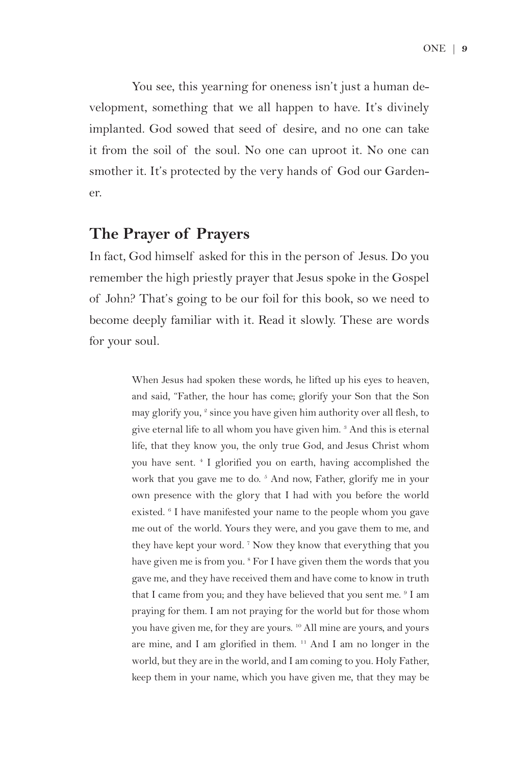You see, this yearning for oneness isn't just a human development, something that we all happen to have. It's divinely implanted. God sowed that seed of desire, and no one can take it from the soil of the soul. No one can uproot it. No one can smother it. It's protected by the very hands of God our Gardener.

#### **The Prayer of Prayers**

In fact, God himself asked for this in the person of Jesus. Do you remember the high priestly prayer that Jesus spoke in the Gospel of John? That's going to be our foil for this book, so we need to become deeply familiar with it. Read it slowly. These are words for your soul.

> When Jesus had spoken these words, he lifted up his eyes to heaven, and said, "Father, the hour has come; glorify your Son that the Son may glorify you,<sup>2</sup> since you have given him authority over all flesh, to give eternal life to all whom you have given him.<sup>3</sup> And this is eternal life, that they know you, the only true God, and Jesus Christ whom you have sent. 4 I glorified you on earth, having accomplished the work that you gave me to do.<sup>5</sup> And now, Father, glorify me in your own presence with the glory that I had with you before the world existed. <sup>6</sup> I have manifested your name to the people whom you gave me out of the world. Yours they were, and you gave them to me, and they have kept your word.<sup>7</sup> Now they know that everything that you have given me is from you.<sup>8</sup> For I have given them the words that you gave me, and they have received them and have come to know in truth that I came from you; and they have believed that you sent me. <sup>9</sup> I am praying for them. I am not praying for the world but for those whom you have given me, for they are yours. 10 All mine are yours, and yours are mine, and I am glorified in them. 11 And I am no longer in the world, but they are in the world, and I am coming to you. Holy Father, keep them in your name, which you have given me, that they may be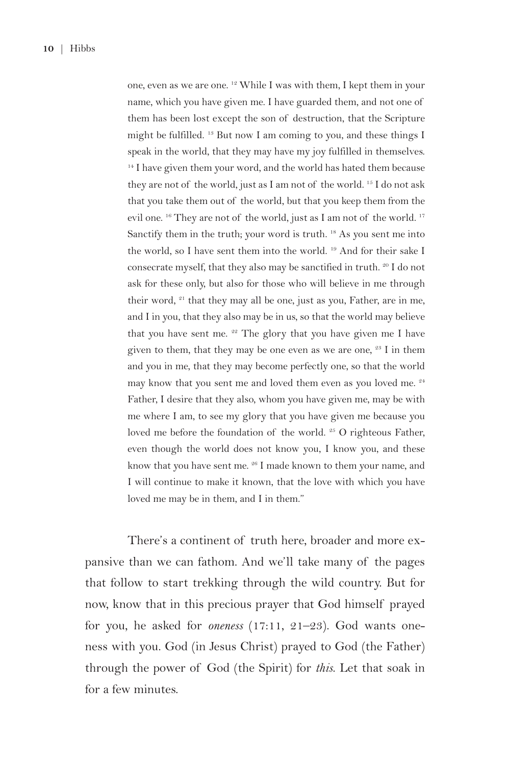one, even as we are one. 12 While I was with them, I kept them in your name, which you have given me. I have guarded them, and not one of them has been lost except the son of destruction, that the Scripture might be fulfilled. 13 But now I am coming to you, and these things I speak in the world, that they may have my joy fulfilled in themselves.  $14$  I have given them your word, and the world has hated them because they are not of the world, just as I am not of the world. 15 I do not ask that you take them out of the world, but that you keep them from the evil one. <sup>16</sup> They are not of the world, just as I am not of the world. <sup>17</sup> Sanctify them in the truth; your word is truth. <sup>18</sup> As you sent me into the world, so I have sent them into the world. 19 And for their sake I consecrate myself, that they also may be sanctified in truth. <sup>20</sup> I do not ask for these only, but also for those who will believe in me through their word, <sup>21</sup> that they may all be one, just as you, Father, are in me, and I in you, that they also may be in us, so that the world may believe that you have sent me.  $22$  The glory that you have given me I have given to them, that they may be one even as we are one,  $23$  I in them and you in me, that they may become perfectly one, so that the world may know that you sent me and loved them even as you loved me. 24 Father, I desire that they also, whom you have given me, may be with me where I am, to see my glory that you have given me because you loved me before the foundation of the world. <sup>25</sup> O righteous Father, even though the world does not know you, I know you, and these know that you have sent me. <sup>26</sup> I made known to them your name, and I will continue to make it known, that the love with which you have loved me may be in them, and I in them."

There's a continent of truth here, broader and more expansive than we can fathom. And we'll take many of the pages that follow to start trekking through the wild country. But for now, know that in this precious prayer that God himself prayed for you, he asked for *oneness* (17:11, 21–23). God wants oneness with you. God (in Jesus Christ) prayed to God (the Father) through the power of God (the Spirit) for *this*. Let that soak in for a few minutes.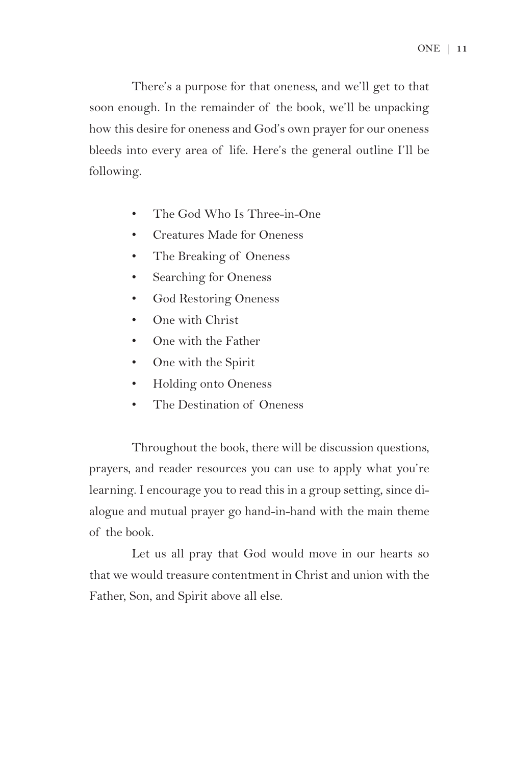There's a purpose for that oneness, and we'll get to that soon enough. In the remainder of the book, we'll be unpacking how this desire for oneness and God's own prayer for our oneness bleeds into every area of life. Here's the general outline I'll be following.

- The God Who Is Three-in-One
- Creatures Made for Oneness
- The Breaking of Oneness
- Searching for Oneness
- God Restoring Oneness
- One with Christ
- One with the Father
- One with the Spirit
- Holding onto Oneness
- The Destination of Oneness

Throughout the book, there will be discussion questions, prayers, and reader resources you can use to apply what you're learning. I encourage you to read this in a group setting, since dialogue and mutual prayer go hand-in-hand with the main theme of the book.

Let us all pray that God would move in our hearts so that we would treasure contentment in Christ and union with the Father, Son, and Spirit above all else.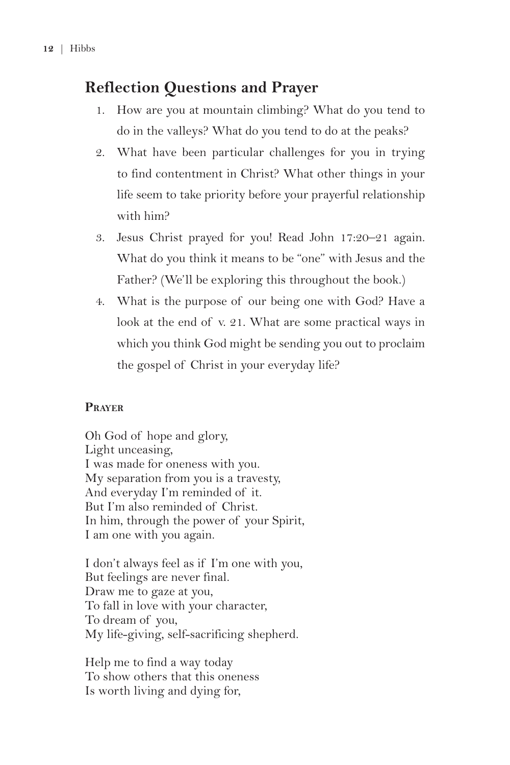#### **Reflection Questions and Prayer**

- 1. How are you at mountain climbing? What do you tend to do in the valleys? What do you tend to do at the peaks?
- 2. What have been particular challenges for you in trying to find contentment in Christ? What other things in your life seem to take priority before your prayerful relationship with him?
- 3. Jesus Christ prayed for you! Read John 17:20–21 again. What do you think it means to be "one" with Jesus and the Father? (We'll be exploring this throughout the book.)
- 4. What is the purpose of our being one with God? Have a look at the end of v. 21. What are some practical ways in which you think God might be sending you out to proclaim the gospel of Christ in your everyday life?

#### **Prayer**

Oh God of hope and glory, Light unceasing, I was made for oneness with you. My separation from you is a travesty, And everyday I'm reminded of it. But I'm also reminded of Christ. In him, through the power of your Spirit, I am one with you again.

I don't always feel as if I'm one with you, But feelings are never final. Draw me to gaze at you, To fall in love with your character, To dream of you, My life-giving, self-sacrificing shepherd.

Help me to find a way today To show others that this oneness Is worth living and dying for,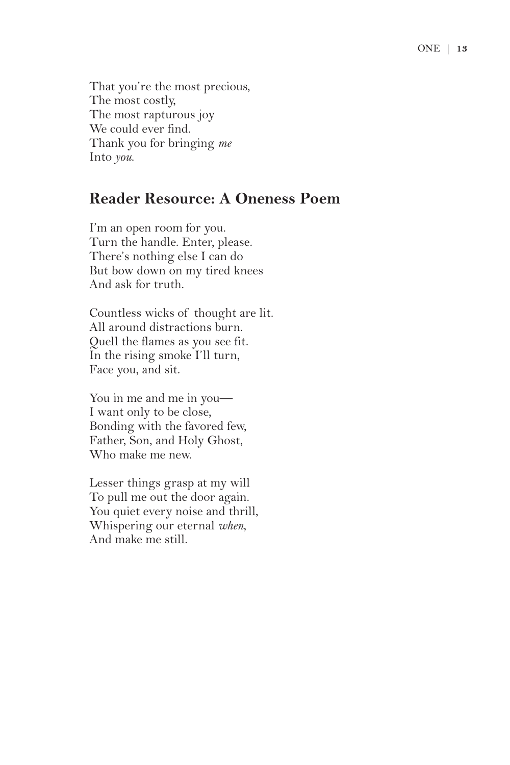That you're the most precious, The most costly, The most rapturous joy We could ever find. Thank you for bringing *me* Into *you*.

#### **Reader Resource: A Oneness Poem**

I'm an open room for you. Turn the handle. Enter, please. There's nothing else I can do But bow down on my tired knees And ask for truth.

Countless wicks of thought are lit. All around distractions burn. Quell the flames as you see fit. In the rising smoke I'll turn, Face you, and sit.

You in me and me in you— I want only to be close, Bonding with the favored few, Father, Son, and Holy Ghost, Who make me new.

Lesser things grasp at my will To pull me out the door again. You quiet every noise and thrill, Whispering our eternal *when*, And make me still.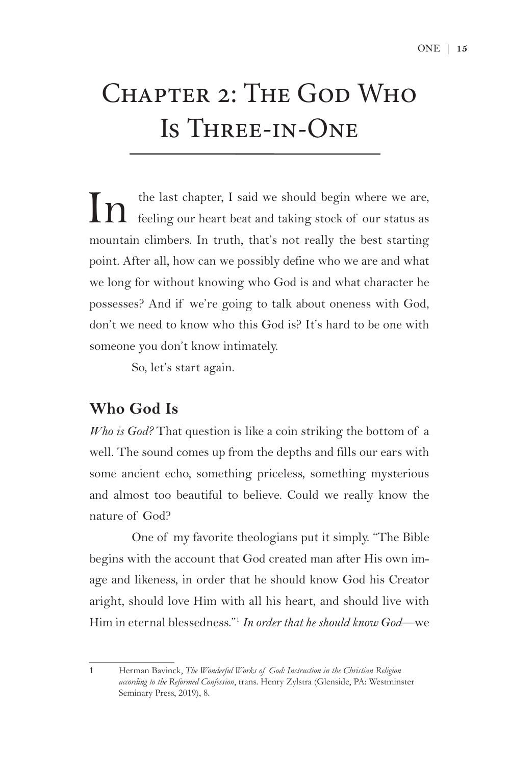## Chapter 2: The God Who Is Three-in-One

In the last chapter, I said we should begin where we are, feeling our heart beat and taking stock of our status as mountain climbers. In truth, that's not really the best starting point. After all, how can we possibly define who we are and what we long for without knowing who God is and what character he possesses? And if we're going to talk about oneness with God, don't we need to know who this God is? It's hard to be one with someone you don't know intimately.

So, let's start again.

#### **Who God Is**

*Who is God?* That question is like a coin striking the bottom of a well. The sound comes up from the depths and fills our ears with some ancient echo, something priceless, something mysterious and almost too beautiful to believe. Could we really know the nature of God?

One of my favorite theologians put it simply. "The Bible begins with the account that God created man after His own image and likeness, in order that he should know God his Creator aright, should love Him with all his heart, and should live with Him in eternal blessedness."1 *In order that he should know God*—we

<sup>1</sup> Herman Bavinck, *The Wonderful Works of God: Instruction in the Christian Religion according to the Reformed Confession*, trans. Henry Zylstra (Glenside, PA: Westminster Seminary Press, 2019), 8.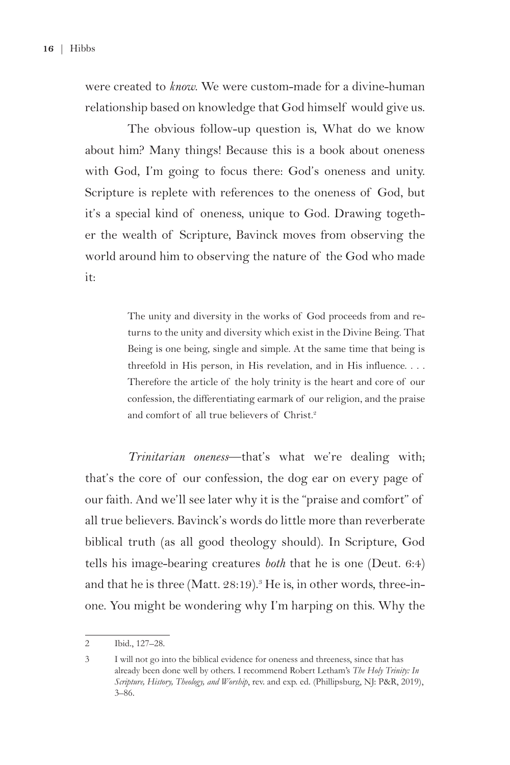were created to *know*. We were custom-made for a divine-human relationship based on knowledge that God himself would give us.

The obvious follow-up question is, What do we know about him? Many things! Because this is a book about oneness with God, I'm going to focus there: God's oneness and unity. Scripture is replete with references to the oneness of God, but it's a special kind of oneness, unique to God. Drawing together the wealth of Scripture, Bavinck moves from observing the world around him to observing the nature of the God who made it:

> The unity and diversity in the works of God proceeds from and returns to the unity and diversity which exist in the Divine Being. That Being is one being, single and simple. At the same time that being is threefold in His person, in His revelation, and in His influence. . . . Therefore the article of the holy trinity is the heart and core of our confession, the differentiating earmark of our religion, and the praise and comfort of all true believers of Christ.<sup>2</sup>

*Trinitarian oneness*—that's what we're dealing with; that's the core of our confession, the dog ear on every page of our faith. And we'll see later why it is the "praise and comfort" of all true believers. Bavinck's words do little more than reverberate biblical truth (as all good theology should). In Scripture, God tells his image-bearing creatures *both* that he is one (Deut. 6:4) and that he is three (Matt. 28:19). $^{\circ}$  He is, in other words, three-inone. You might be wondering why I'm harping on this. Why the

<sup>2</sup> Ibid., 127–28.

<sup>3</sup> I will not go into the biblical evidence for oneness and threeness, since that has already been done well by others. I recommend Robert Letham's *The Holy Trinity: In Scripture, History, Theology, and Worship*, rev. and exp. ed. (Phillipsburg, NJ: P&R, 2019), 3–86.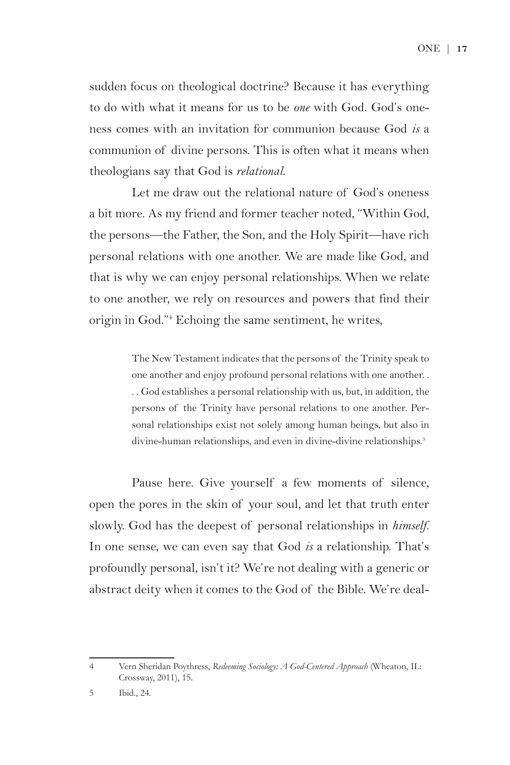ONE | **17** 

sudden focus on theological doctrine? Because it has everything to do with what it means for us to be *one* with God. God's oneness comes with an invitation for communion because God *is* a communion of divine persons. This is often what it means when theologians say that God is *relational*.

Let me draw out the relational nature of God's oneness a bit more. As my friend and former teacher noted, "Within God, the persons—the Father, the Son, and the Holy Spirit—have rich personal relations with one another. We are made like God, and that is why we can enjoy personal relationships. When we relate to one another, we rely on resources and powers that find their origin in God."4 Echoing the same sentiment, he writes,

> The New Testament indicates that the persons of the Trinity speak to one another and enjoy profound personal relations with one another. . . . God establishes a personal relationship with us, but, in addition, the persons of the Trinity have personal relations to one another. Personal relationships exist not solely among human beings, but also in divine-human relationships, and even in divine-divine relationships.<sup>5</sup>

Pause here. Give yourself a few moments of silence, open the pores in the skin of your soul, and let that truth enter slowly. God has the deepest of personal relationships in *himself*. In one sense, we can even say that God *is* a relationship. That's profoundly personal, isn't it? We're not dealing with a generic or abstract deity when it comes to the God of the Bible. We're deal-

<sup>4</sup> Vern Sheridan Poythress, *Redeeming Sociology: A God-Centered Approach* (Wheaton, IL: Crossway, 2011), 15.

<sup>5</sup> Ibid., 24.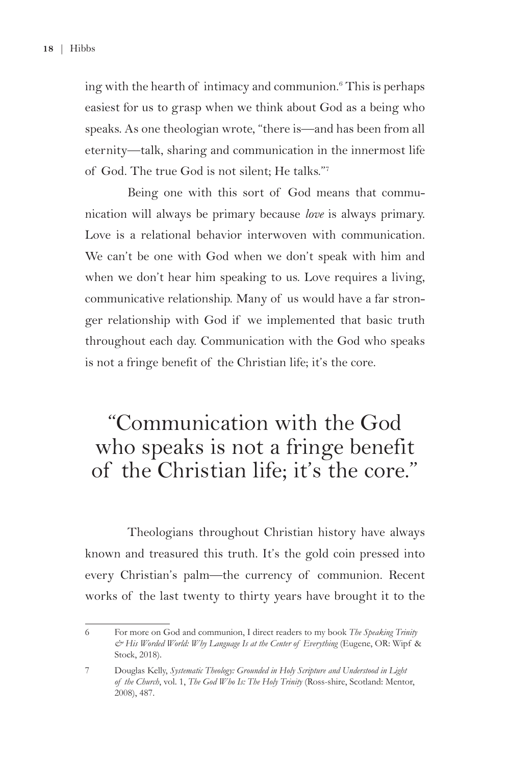ing with the hearth of intimacy and communion.6 This is perhaps easiest for us to grasp when we think about God as a being who speaks. As one theologian wrote, "there is—and has been from all eternity—talk, sharing and communication in the innermost life of God. The true God is not silent; He talks."7

Being one with this sort of God means that communication will always be primary because *love* is always primary. Love is a relational behavior interwoven with communication. We can't be one with God when we don't speak with him and when we don't hear him speaking to us. Love requires a living, communicative relationship. Many of us would have a far stronger relationship with God if we implemented that basic truth throughout each day. Communication with the God who speaks is not a fringe benefit of the Christian life; it's the core.

## "Communication with the God who speaks is not a fringe benefit of the Christian life; it's the core."

Theologians throughout Christian history have always known and treasured this truth. It's the gold coin pressed into every Christian's palm—the currency of communion. Recent works of the last twenty to thirty years have brought it to the

<sup>6</sup> For more on God and communion, I direct readers to my book *The Speaking Trinity & His Worded World: Why Language Is at the Center of Everything* (Eugene, OR: Wipf & Stock, 2018).

<sup>7</sup> Douglas Kelly, *Systematic Theology: Grounded in Holy Scripture and Understood in Light of the Church*, vol. 1, *The God Who Is: The Holy Trinity* (Ross-shire, Scotland: Mentor, 2008), 487.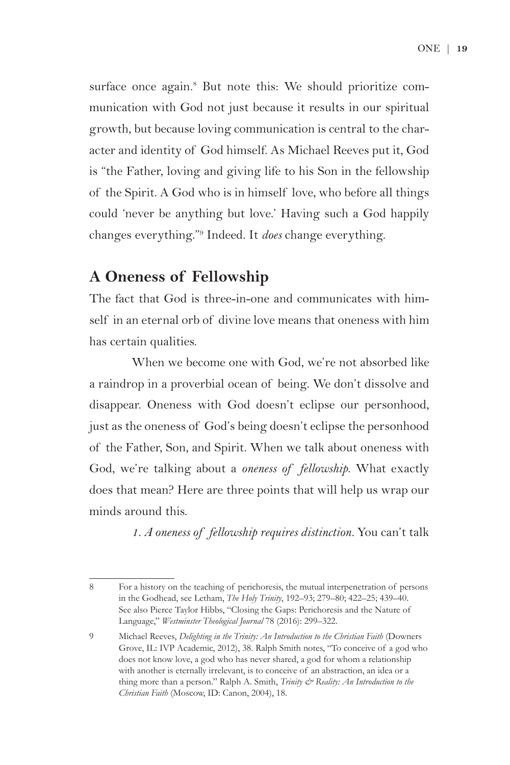surface once again.<sup>8</sup> But note this: We should prioritize communication with God not just because it results in our spiritual growth, but because loving communication is central to the character and identity of God himself. As Michael Reeves put it, God is "the Father, loving and giving life to his Son in the fellowship of the Spirit. A God who is in himself love, who before all things could 'never be anything but love.' Having such a God happily changes everything."9 Indeed. It *does* change everything.

#### **A Oneness of Fellowship**

The fact that God is three-in-one and communicates with himself in an eternal orb of divine love means that oneness with him has certain qualities.

When we become one with God, we're not absorbed like a raindrop in a proverbial ocean of being. We don't dissolve and disappear. Oneness with God doesn't eclipse our personhood, just as the oneness of God's being doesn't eclipse the personhood of the Father, Son, and Spirit. When we talk about oneness with God, we're talking about a *oneness of fellowship*. What exactly does that mean? Here are three points that will help us wrap our minds around this.

*1. A oneness of fellowship requires distinction.* You can't talk

<sup>8</sup> For a history on the teaching of perichoresis, the mutual interpenetration of persons in the Godhead, see Letham, *The Holy Trinity*, 192–93; 279–80; 422–25; 439–40. See also Pierce Taylor Hibbs, "Closing the Gaps: Perichoresis and the Nature of Language," *Westminster Theological Journal* 78 (2016): 299–322.

<sup>9</sup> Michael Reeves, *Delighting in the Trinity: An Introduction to the Christian Faith* (Downers Grove, IL: IVP Academic, 2012), 38. Ralph Smith notes, "To conceive of a god who does not know love, a god who has never shared, a god for whom a relationship with another is eternally irrelevant, is to conceive of an abstraction, an idea or a thing more than a person." Ralph A. Smith, *Trinity & Reality: An Introduction to the Christian Faith* (Moscow, ID: Canon, 2004), 18.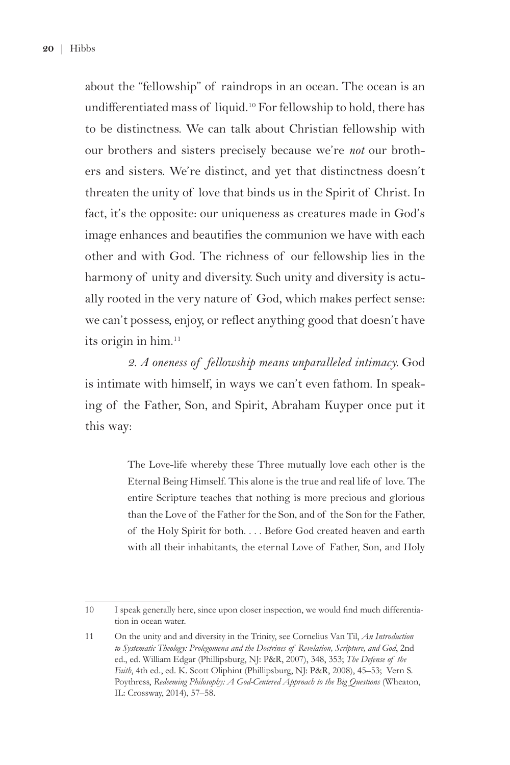about the "fellowship" of raindrops in an ocean. The ocean is an undifferentiated mass of liquid.<sup>10</sup> For fellowship to hold, there has to be distinctness. We can talk about Christian fellowship with our brothers and sisters precisely because we're *not* our brothers and sisters. We're distinct, and yet that distinctness doesn't threaten the unity of love that binds us in the Spirit of Christ. In fact, it's the opposite: our uniqueness as creatures made in God's image enhances and beautifies the communion we have with each other and with God. The richness of our fellowship lies in the harmony of unity and diversity. Such unity and diversity is actually rooted in the very nature of God, which makes perfect sense: we can't possess, enjoy, or reflect anything good that doesn't have its origin in him.<sup>11</sup>

*2. A oneness of fellowship means unparalleled intimacy.* God is intimate with himself, in ways we can't even fathom. In speaking of the Father, Son, and Spirit, Abraham Kuyper once put it this way:

> The Love-life whereby these Three mutually love each other is the Eternal Being Himself. This alone is the true and real life of love. The entire Scripture teaches that nothing is more precious and glorious than the Love of the Father for the Son, and of the Son for the Father, of the Holy Spirit for both. . . . Before God created heaven and earth with all their inhabitants, the eternal Love of Father, Son, and Holy

<sup>10</sup> I speak generally here, since upon closer inspection, we would find much differentiation in ocean water.

<sup>11</sup> On the unity and and diversity in the Trinity, see Cornelius Van Til, *An Introduction to Systematic Theology: Prolegomena and the Doctrines of Revelation, Scripture, and God*, 2nd ed., ed. William Edgar (Phillipsburg, NJ: P&R, 2007), 348, 353; *The Defense of the Faith*, 4th ed., ed. K. Scott Oliphint (Phillipsburg, NJ: P&R, 2008), 45–53; Vern S. Poythress, *Redeeming Philosophy: A God-Centered Approach to the Big Questions* (Wheaton, IL: Crossway, 2014), 57–58.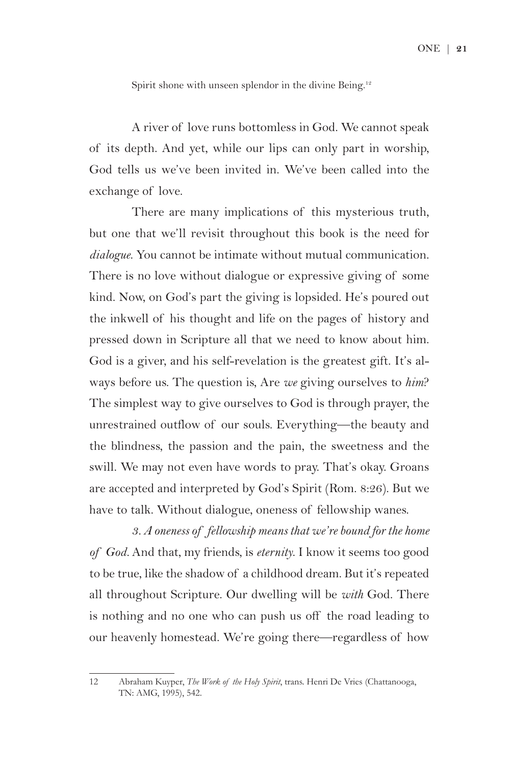Spirit shone with unseen splendor in the divine Being.<sup>12</sup>

A river of love runs bottomless in God. We cannot speak of its depth. And yet, while our lips can only part in worship, God tells us we've been invited in. We've been called into the exchange of love.

There are many implications of this mysterious truth, but one that we'll revisit throughout this book is the need for *dialogue*. You cannot be intimate without mutual communication. There is no love without dialogue or expressive giving of some kind. Now, on God's part the giving is lopsided. He's poured out the inkwell of his thought and life on the pages of history and pressed down in Scripture all that we need to know about him. God is a giver, and his self-revelation is the greatest gift. It's always before us. The question is, Are *we* giving ourselves to *him*? The simplest way to give ourselves to God is through prayer, the unrestrained outflow of our souls. Everything—the beauty and the blindness, the passion and the pain, the sweetness and the swill. We may not even have words to pray. That's okay. Groans are accepted and interpreted by God's Spirit (Rom. 8:26). But we have to talk. Without dialogue, oneness of fellowship wanes.

*3. A oneness of fellowship means that we're bound for the home of God.* And that, my friends, is *eternity*. I know it seems too good to be true, like the shadow of a childhood dream. But it's repeated all throughout Scripture. Our dwelling will be *with* God. There is nothing and no one who can push us off the road leading to our heavenly homestead. We're going there—regardless of how

<sup>12</sup> Abraham Kuyper, *The Work of the Holy Spirit*, trans. Henri De Vries (Chattanooga, TN: AMG, 1995), 542.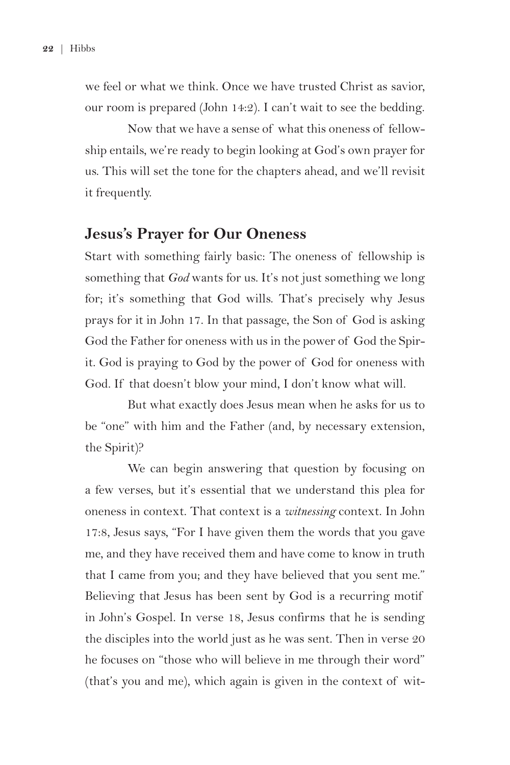we feel or what we think. Once we have trusted Christ as savior, our room is prepared (John 14:2). I can't wait to see the bedding.

Now that we have a sense of what this oneness of fellowship entails, we're ready to begin looking at God's own prayer for us. This will set the tone for the chapters ahead, and we'll revisit it frequently.

#### **Jesus's Prayer for Our Oneness**

Start with something fairly basic: The oneness of fellowship is something that *God* wants for us. It's not just something we long for; it's something that God wills. That's precisely why Jesus prays for it in John 17. In that passage, the Son of God is asking God the Father for oneness with us in the power of God the Spirit. God is praying to God by the power of God for oneness with God. If that doesn't blow your mind, I don't know what will.

But what exactly does Jesus mean when he asks for us to be "one" with him and the Father (and, by necessary extension, the Spirit)?

We can begin answering that question by focusing on a few verses, but it's essential that we understand this plea for oneness in context. That context is a *witnessing* context. In John 17:8, Jesus says, "For I have given them the words that you gave me, and they have received them and have come to know in truth that I came from you; and they have believed that you sent me." Believing that Jesus has been sent by God is a recurring motif in John's Gospel. In verse 18, Jesus confirms that he is sending the disciples into the world just as he was sent. Then in verse 20 he focuses on "those who will believe in me through their word" (that's you and me), which again is given in the context of wit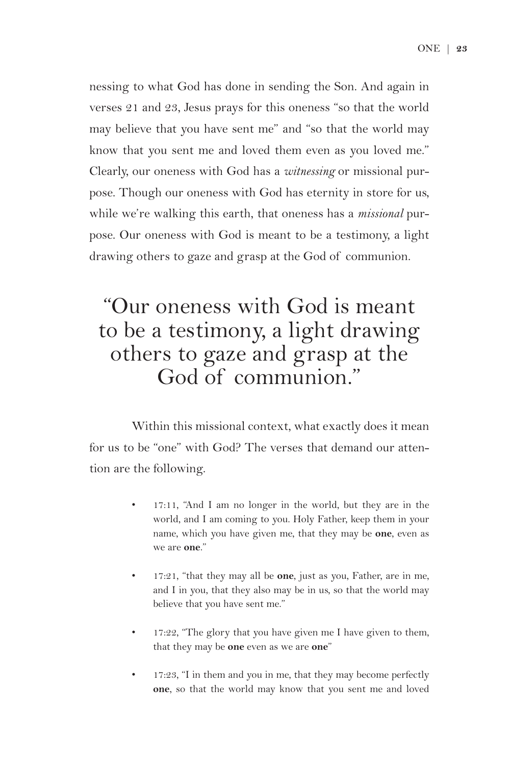nessing to what God has done in sending the Son. And again in verses 21 and 23, Jesus prays for this oneness "so that the world may believe that you have sent me" and "so that the world may know that you sent me and loved them even as you loved me." Clearly, our oneness with God has a *witnessing* or missional purpose. Though our oneness with God has eternity in store for us, while we're walking this earth, that oneness has a *missional* purpose. Our oneness with God is meant to be a testimony, a light drawing others to gaze and grasp at the God of communion.

## "Our oneness with God is meant to be a testimony, a light drawing others to gaze and grasp at the God of communion."

Within this missional context, what exactly does it mean for us to be "one" with God? The verses that demand our attention are the following.

- 17:11, "And I am no longer in the world, but they are in the world, and I am coming to you. Holy Father, keep them in your name, which you have given me, that they may be **one**, even as we are **one**."
- 17:21, "that they may all be **one**, just as you, Father, are in me, and I in you, that they also may be in us, so that the world may believe that you have sent me."
- 17:22, "The glory that you have given me I have given to them, that they may be **one** even as we are **one**"
- 17:23, "I in them and you in me, that they may become perfectly **one**, so that the world may know that you sent me and loved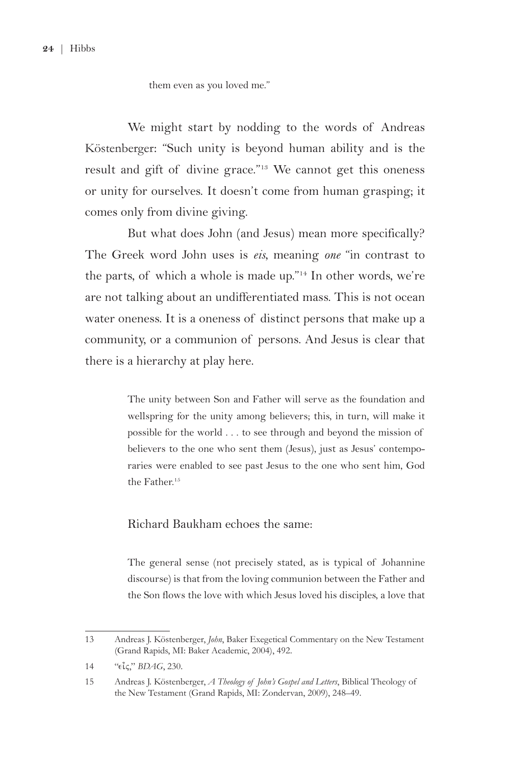**24** | Hibbs

them even as you loved me."

We might start by nodding to the words of Andreas Köstenberger: "Such unity is beyond human ability and is the result and gift of divine grace."<sup>13</sup> We cannot get this oneness or unity for ourselves. It doesn't come from human grasping; it comes only from divine giving.

But what does John (and Jesus) mean more specifically? The Greek word John uses is *eis*, meaning *one* "in contrast to the parts, of which a whole is made up."14 In other words, we're are not talking about an undifferentiated mass. This is not ocean water oneness. It is a oneness of distinct persons that make up a community, or a communion of persons. And Jesus is clear that there is a hierarchy at play here.

> The unity between Son and Father will serve as the foundation and wellspring for the unity among believers; this, in turn, will make it possible for the world . . . to see through and beyond the mission of believers to the one who sent them (Jesus), just as Jesus' contemporaries were enabled to see past Jesus to the one who sent him, God the Father.15

#### Richard Baukham echoes the same:

The general sense (not precisely stated, as is typical of Johannine discourse) is that from the loving communion between the Father and the Son flows the love with which Jesus loved his disciples, a love that

<sup>13</sup> Andreas J. Köstenberger, *John*, Baker Exegetical Commentary on the New Testament (Grand Rapids, MI: Baker Academic, 2004), 492.

<sup>14 &</sup>quot; $\epsilon \tilde{\iota}$ *ς*," *BDAG*, 230.

<sup>15</sup> Andreas J. Köstenberger, *A Theology of John's Gospel and Letters*, Biblical Theology of the New Testament (Grand Rapids, MI: Zondervan, 2009), 248–49.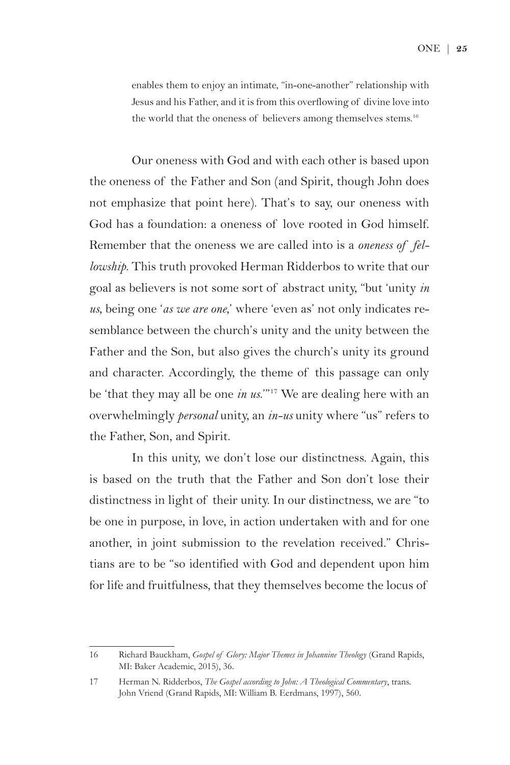enables them to enjoy an intimate, "in-one-another" relationship with Jesus and his Father, and it is from this overflowing of divine love into the world that the oneness of believers among themselves stems.<sup>16</sup>

Our oneness with God and with each other is based upon the oneness of the Father and Son (and Spirit, though John does not emphasize that point here). That's to say, our oneness with God has a foundation: a oneness of love rooted in God himself. Remember that the oneness we are called into is a *oneness of fellowship*. This truth provoked Herman Ridderbos to write that our goal as believers is not some sort of abstract unity, "but 'unity *in us*, being one '*as we are one*,' where 'even as' not only indicates resemblance between the church's unity and the unity between the Father and the Son, but also gives the church's unity its ground and character. Accordingly, the theme of this passage can only be 'that they may all be one *in us*.'"17 We are dealing here with an overwhelmingly *personal* unity, an *in-us* unity where "us" refers to the Father, Son, and Spirit.

In this unity, we don't lose our distinctness. Again, this is based on the truth that the Father and Son don't lose their distinctness in light of their unity. In our distinctness, we are "to be one in purpose, in love, in action undertaken with and for one another, in joint submission to the revelation received." Christians are to be "so identified with God and dependent upon him for life and fruitfulness, that they themselves become the locus of

<sup>16</sup> Richard Bauckham, *Gospel of Glory: Major Themes in Johannine Theology* (Grand Rapids, MI: Baker Academic, 2015), 36.

<sup>17</sup> Herman N. Ridderbos, *The Gospel according to John: A Theological Commentary*, trans. John Vriend (Grand Rapids, MI: William B. Eerdmans, 1997), 560.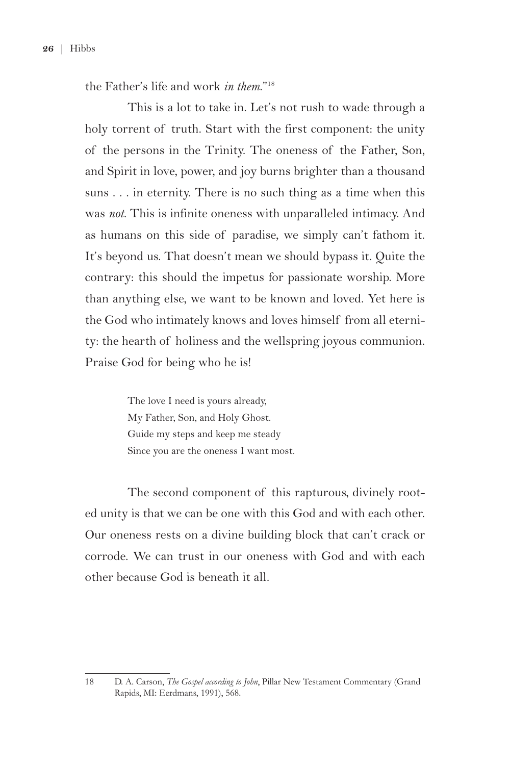the Father's life and work *in them*."18

This is a lot to take in. Let's not rush to wade through a holy torrent of truth. Start with the first component: the unity of the persons in the Trinity. The oneness of the Father, Son, and Spirit in love, power, and joy burns brighter than a thousand suns . . . in eternity. There is no such thing as a time when this was *not*. This is infinite oneness with unparalleled intimacy. And as humans on this side of paradise, we simply can't fathom it. It's beyond us. That doesn't mean we should bypass it. Quite the contrary: this should the impetus for passionate worship. More than anything else, we want to be known and loved. Yet here is the God who intimately knows and loves himself from all eternity: the hearth of holiness and the wellspring joyous communion. Praise God for being who he is!

> The love I need is yours already, My Father, Son, and Holy Ghost. Guide my steps and keep me steady Since you are the oneness I want most.

The second component of this rapturous, divinely rooted unity is that we can be one with this God and with each other. Our oneness rests on a divine building block that can't crack or corrode. We can trust in our oneness with God and with each other because God is beneath it all.

<sup>18</sup> D. A. Carson, *The Gospel according to John*, Pillar New Testament Commentary (Grand Rapids, MI: Eerdmans, 1991), 568.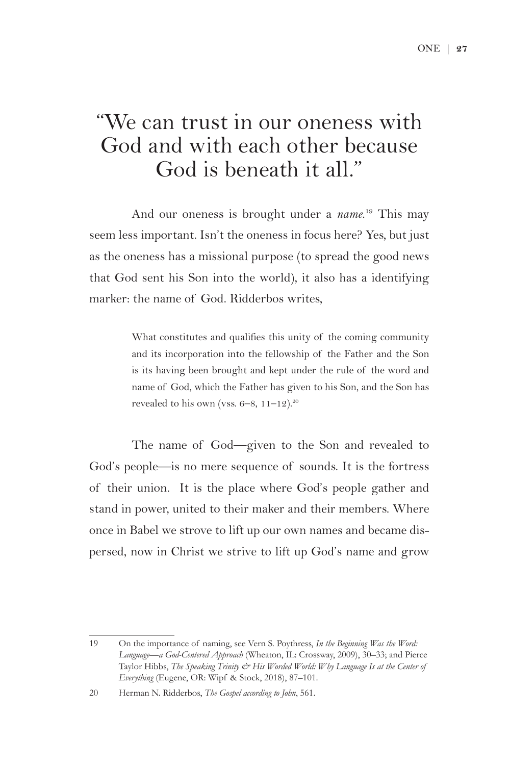### "We can trust in our oneness with God and with each other because God is beneath it all."

And our oneness is brought under a *name*. 19 This may seem less important. Isn't the oneness in focus here? Yes, but just as the oneness has a missional purpose (to spread the good news that God sent his Son into the world), it also has a identifying marker: the name of God. Ridderbos writes,

> What constitutes and qualifies this unity of the coming community and its incorporation into the fellowship of the Father and the Son is its having been brought and kept under the rule of the word and name of God, which the Father has given to his Son, and the Son has revealed to his own (vss.  $6-8$ ,  $11-12$ ).<sup>20</sup>

The name of God—given to the Son and revealed to God's people—is no mere sequence of sounds. It is the fortress of their union. It is the place where God's people gather and stand in power, united to their maker and their members. Where once in Babel we strove to lift up our own names and became dispersed, now in Christ we strive to lift up God's name and grow

<sup>19</sup> On the importance of naming, see Vern S. Poythress, *In the Beginning Was the Word: Language—a God-Centered Approach* (Wheaton, IL: Crossway, 2009), 30–33; and Pierce Taylor Hibbs, *The Speaking Trinity & His Worded World: Why Language Is at the Center of Everything* (Eugene, OR: Wipf & Stock, 2018), 87–101.

<sup>20</sup> Herman N. Ridderbos, *The Gospel according to John*, 561.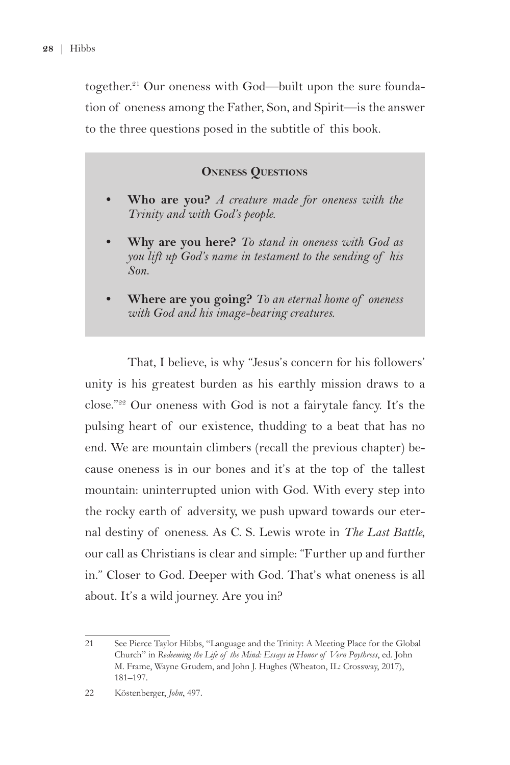together.<sup>21</sup> Our oneness with God—built upon the sure foundation of oneness among the Father, Son, and Spirit—is the answer to the three questions posed in the subtitle of this book.

#### **Oneness Questions**

- **• Who are you?** *A creature made for oneness with the Trinity and with God's people.*
- **• Why are you here?** *To stand in oneness with God as you lift up God's name in testament to the sending of his Son.*
- **• Where are you going?** *To an eternal home of oneness with God and his image-bearing creatures.*

That, I believe, is why "Jesus's concern for his followers' unity is his greatest burden as his earthly mission draws to a close."22 Our oneness with God is not a fairytale fancy. It's the pulsing heart of our existence, thudding to a beat that has no end. We are mountain climbers (recall the previous chapter) because oneness is in our bones and it's at the top of the tallest mountain: uninterrupted union with God. With every step into the rocky earth of adversity, we push upward towards our eternal destiny of oneness. As C. S. Lewis wrote in *The Last Battle*, our call as Christians is clear and simple: "Further up and further in." Closer to God. Deeper with God. That's what oneness is all about. It's a wild journey. Are you in?

<sup>21</sup> See Pierce Taylor Hibbs, "Language and the Trinity: A Meeting Place for the Global Church" in *Redeeming the Life of the Mind: Essays in Honor of Vern Poythress*, ed. John M. Frame, Wayne Grudem, and John J. Hughes (Wheaton, IL: Crossway, 2017), 181–197.

<sup>22</sup> Köstenberger, *John*, 497.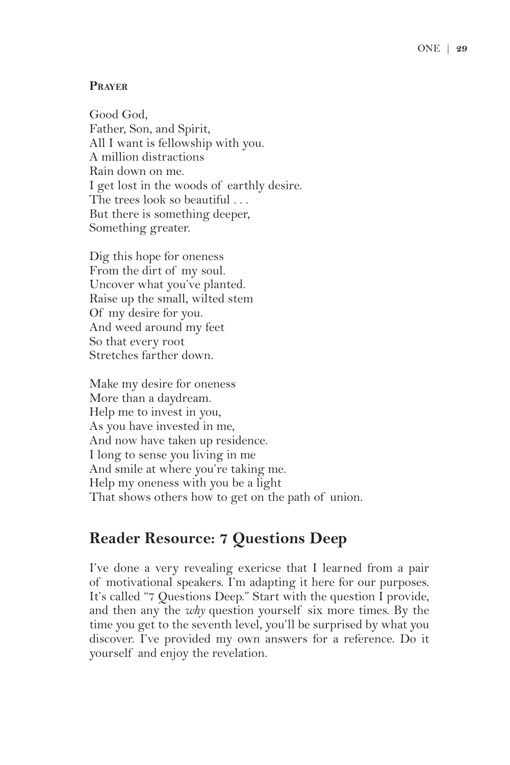#### **Prayer**

Good God, Father, Son, and Spirit, All I want is fellowship with you. A million distractions Rain down on me. I get lost in the woods of earthly desire. The trees look so beautiful . . . But there is something deeper, Something greater.

Dig this hope for oneness From the dirt of my soul. Uncover what you've planted. Raise up the small, wilted stem Of my desire for you. And weed around my feet So that every root Stretches farther down.

Make my desire for oneness More than a daydream. Help me to invest in you, As you have invested in me, And now have taken up residence. I long to sense you living in me And smile at where you're taking me. Help my oneness with you be a light That shows others how to get on the path of union.

#### **Reader Resource: 7 Questions Deep**

I've done a very revealing exericse that I learned from a pair of motivational speakers. I'm adapting it here for our purposes. It's called "7 Questions Deep." Start with the question I provide, and then any the *why* question yourself six more times. By the time you get to the seventh level, you'll be surprised by what you discover. I've provided my own answers for a reference. Do it yourself and enjoy the revelation.